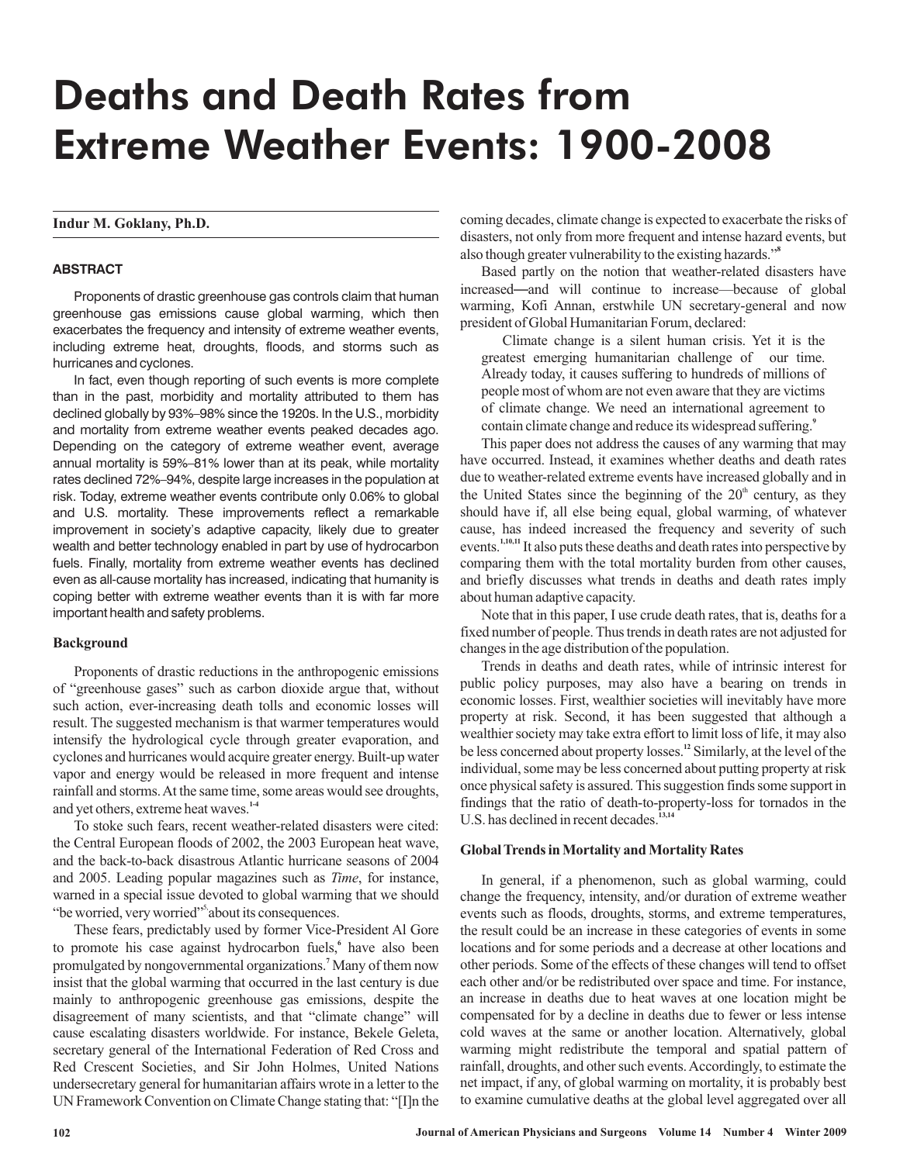# Deaths and Death Rates from Extreme Weather Events: 1900-2008

## **Indur M. Goklany, Ph.D.**

## **ABSTRACT**

Proponents of drastic greenhouse gas controls claim that human greenhouse gas emissions cause global warming, which then exacerbates the frequency and intensity of extreme weather events, including extreme heat, droughts, floods, and storms such as hurricanes and cyclones.

In fact, even though reporting of such events is more complete than in the past, morbidity and mortality attributed to them has declined globally by 93%–98% since the 1920s. In the U.S., morbidity and mortality from extreme weather events peaked decades ago. Depending on the category of extreme weather event, average annual mortality is 59%–81% lower than at its peak, while mortality rates declined 72%–94%, despite large increases in the population at risk. Today, extreme weather events contribute only 0.06% to global and U.S. mortality. These improvements reflect a remarkable improvement in society's adaptive capacity, likely due to greater wealth and better technology enabled in part by use of hydrocarbon fuels. Finally, mortality from extreme weather events has declined even as all-cause mortality has increased, indicating that humanity is coping better with extreme weather events than it is with far more important health and safety problems.

#### **Background**

Proponents of drastic reductions in the anthropogenic emissions of "greenhouse gases" such as carbon dioxide argue that, without such action, ever-increasing death tolls and economic losses will result. The suggested mechanism is that warmer temperatures would intensify the hydrological cycle through greater evaporation, and cyclones and hurricanes would acquire greater energy. Built-up water vapor and energy would be released in more frequent and intense rainfall and storms.At the same time, some areas would see droughts, and yet others, extreme heat waves. **1-4**

To stoke such fears, recent weather-related disasters were cited: the Central European floods of 2002, the 2003 European heat wave, and the back-to-back disastrous Atlantic hurricane seasons of 2004 and 2005. Leading popular magazines such as *Time*, for instance, warned in a special issue devoted to global warming that we should "be worried, very worried"<sup>5</sup> about its consequences.

These fears, predictably used by former Vice-President Al Gore to promote his case against hydrocarbon fuels,<sup>6</sup> have also been promulgated by nongovernmental organizations.<sup>7</sup> Many of them now insist that the global warming that occurred in the last century is due mainly to anthropogenic greenhouse gas emissions, despite the disagreement of many scientists, and that "climate change" will cause escalating disasters worldwide. For instance, Bekele Geleta, secretary general of the International Federation of Red Cross and Red Crescent Societies, and Sir John Holmes, United Nations undersecretary general for humanitarian affairs wrote in a letter to the UN Framework Convention on Climate Change stating that: "[I]n the

coming decades, climate change is expected to exacerbate the risks of disasters, not only from more frequent and intense hazard events, but also though greater vulnerability to the existing hazards." **8**

Based partly on the notion that weather-related disasters have increased—and will continue to increase—because of global warming, Kofi Annan, erstwhile UN secretary-general and now president of Global Humanitarian Forum, declared:

Climate change is a silent human crisis. Yet it is the greatest emerging humanitarian challenge of our time. Already today, it causes suffering to hundreds of millions of people most of whom are not even aware that they are victims of climate change. We need an international agreement to contain climate change and reduce its widespread suffering. **9**

This paper does not address the causes of any warming that may have occurred. Instead, it examines whether deaths and death rates due to weather-related extreme events have increased globally and in the United States since the beginning of the  $20<sup>th</sup>$  century, as they should have if, all else being equal, global warming, of whatever cause, has indeed increased the frequency and severity of such events.<sup>1,10,11</sup> It also puts these deaths and death rates into perspective by comparing them with the total mortality burden from other causes, and briefly discusses what trends in deaths and death rates imply about human adaptive capacity.

Note that in this paper, I use crude death rates, that is, deaths for a fixed number of people. Thus trends in death rates are not adjusted for changes in the age distribution of the population.

Trends in deaths and death rates, while of intrinsic interest for public policy purposes, may also have a bearing on trends in economic losses. First, wealthier societies will inevitably have more property at risk. Second, it has been suggested that although a wealthier society may take extra effort to limit loss of life, it may also be less concerned about property losses.<sup>12</sup> Similarly, at the level of the individual, some may be less concerned about putting property at risk once physical safety is assured. This suggestion finds some support in findings that the ratio of death-to-property-loss for tornados in the U.S. has declined in recent decades.<sup>13,14</sup>

## **Global Trends in Mortality and Mortality Rates**

In general, if a phenomenon, such as global warming, could change the frequency, intensity, and/or duration of extreme weather events such as floods, droughts, storms, and extreme temperatures, the result could be an increase in these categories of events in some locations and for some periods and a decrease at other locations and other periods. Some of the effects of these changes will tend to offset each other and/or be redistributed over space and time. For instance, an increase in deaths due to heat waves at one location might be compensated for by a decline in deaths due to fewer or less intense cold waves at the same or another location. Alternatively, global warming might redistribute the temporal and spatial pattern of rainfall, droughts, and other such events.Accordingly, to estimate the net impact, if any, of global warming on mortality, it is probably best to examine cumulative deaths at the global level aggregated over all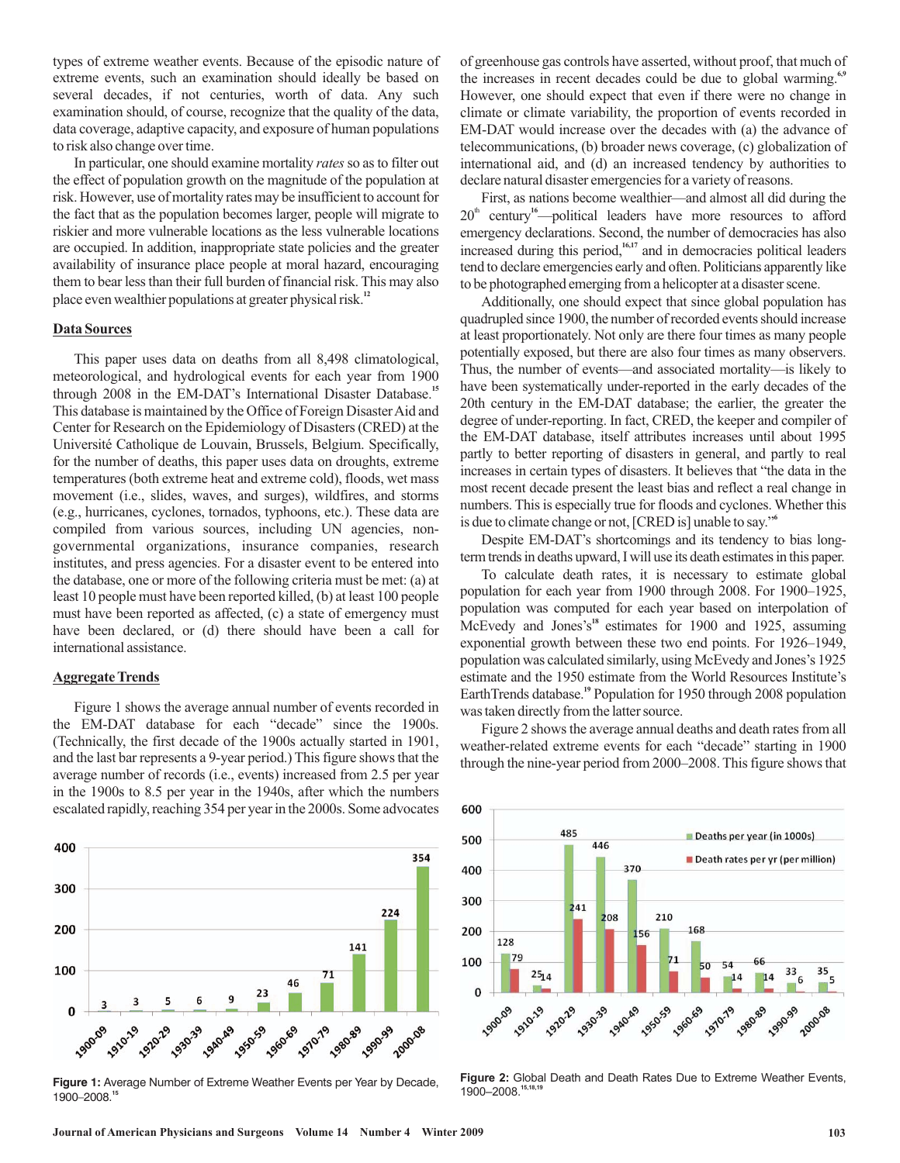types of extreme weather events. Because of the episodic nature of extreme events, such an examination should ideally be based on several decades, if not centuries, worth of data. Any such examination should, of course, recognize that the quality of the data, data coverage, adaptive capacity, and exposure of human populations to risk also change over time.

In particular, one should examine mortality rates so as to filter out the effect of population growth on the magnitude of the population at risk. However, use of mortality rates may be insufficient to account for the fact that as the population becomes larger, people will migrate to riskier and more vulnerable locations as the less vulnerable locations are occupied. In addition, inappropriate state policies and the greater availability of insurance place people at moral hazard, encouraging them to bear less than their full burden of financial risk. This may also place even wealthier populations at greater physical risk. **12**

### **Data Sources**

This paper uses data on deaths from all 8,498 climatological, meteorological, and hydrological events for each year from 1900 through 2008 in the EM-DAT's International Disaster Database.<sup>15</sup> This database is maintained by the Office of Foreign DisasterAid and Center for Research on the Epidemiology of Disasters (CRED) at the Université Catholique de Louvain, Brussels, Belgium. Specifically, for the number of deaths, this paper uses data on droughts, extreme temperatures (both extreme heat and extreme cold), floods, wet mass movement (i.e., slides, waves, and surges), wildfires, and storms (e.g., hurricanes, cyclones, tornados, typhoons, etc.). These data are compiled from various sources, including UN agencies, nongovernmental organizations, insurance companies, research institutes, and press agencies. For a disaster event to be entered into the database, one or more of the following criteria must be met: (a) at least 10 people must have been reported killed, (b) at least 100 people must have been reported as affected, (c) a state of emergency must have been declared, or (d) there should have been a call for international assistance.

## **Aggregate Trends**

Figure 1 shows the average annual number of events recorded in the EM-DAT database for each "decade" since the 1900s. (Technically, the first decade of the 1900s actually started in 1901, and the last bar represents a 9-year period.) This figure shows that the average number of records (i.e., events) increased from 2.5 per year in the 1900s to 8.5 per year in the 1940s, after which the numbers escalated rapidly, reaching 354 per year in the 2000s. Some advocates



**Figure 1:** Average Number of Extreme Weather Events per Year by Decade, 1900–2008.**<sup>15</sup>**

of greenhouse gas controls have asserted, without proof, that much of the increases in recent decades could be due to global warming.<sup>6,9</sup> However, one should expect that even if there were no change in climate or climate variability, the proportion of events recorded in EM-DAT would increase over the decades with (a) the advance of telecommunications, (b) broader news coverage, (c) globalization of international aid, and (d) an increased tendency by authorities to declare natural disaster emergencies for a variety of reasons.

First, as nations become wealthier—and almost all did during the 20<sup>th</sup> century<sup>16</sup>—political leaders have more resources to afford emergency declarations. Second, the number of democracies has also increased during this period,<sup>16,17</sup> and in democracies political leaders tend to declare emergencies early and often. Politicians apparently like to be photographed emerging from a helicopter at a disaster scene.

Additionally, one should expect that since global population has quadrupled since 1900, the number of recorded events should increase at least proportionately. Not only are there four times as many people potentially exposed, but there are also four times as many observers. Thus, the number of events—and associated mortality—is likely to have been systematically under-reported in the early decades of the 20th century in the EM-DAT database; the earlier, the greater the degree of under-reporting. In fact, CRED, the keeper and compiler of the EM-DAT database, itself attributes increases until about 1995 partly to better reporting of disasters in general, and partly to real increases in certain types of disasters. It believes that "the data in the most recent decade present the least bias and reflect a real change in numbers. This is especially true for floods and cyclones. Whether this is due to climate change or not, [CRED is] unable to say." **6**

Despite EM-DAT's shortcomings and its tendency to bias longterm trends in deaths upward, I will use its death estimates in this paper.

To calculate death rates, it is necessary to estimate global population for each year from 1900 through 2008. For 1900–1925, population was computed for each year based on interpolation of McEvedy and Jones's<sup>18</sup> estimates for 1900 and 1925, assuming exponential growth between these two end points. For 1926–1949, population was calculated similarly, using McEvedy and Jones's 1925 estimate and the 1950 estimate from the World Resources Institute's EarthTrends database.<sup>19</sup> Population for 1950 through 2008 population was taken directly from the latter source.

Figure 2 shows the average annual deaths and death rates from all weather-related extreme events for each "decade" starting in 1900 through the nine-year period from 2000–2008. This figure shows that



**Figure 2:** Global Death and Death Rates Due to Extreme Weather Events, 1900–2008.**15,18,19**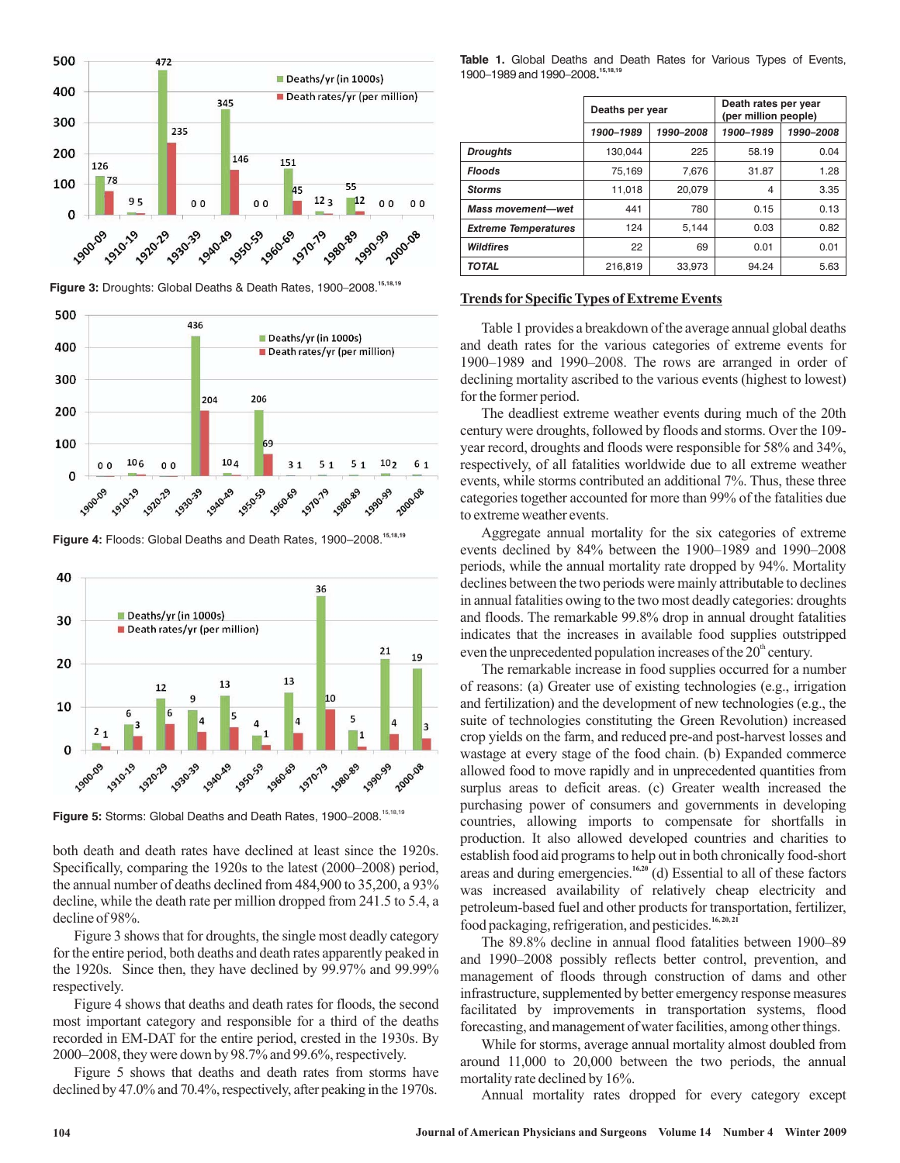

**Figure 3:** Droughts: Global Deaths & Death Rates, 1900–2008.**15,18,19**



**Figure 4:** Floods: Global Deaths and Death Rates, 1900–2008.**15,18,19**



**Figure 5:** Storms: Global Deaths and Death Rates, 1900–2008.15,18,19

both death and death rates have declined at least since the 1920s. Specifically, comparing the 1920s to the latest (2000–2008) period, the annual number of deaths declined from 484,900 to 35,200, a 93% decline, while the death rate per million dropped from 241.5 to 5.4, a decline of 98%.

Figure 3 shows that for droughts, the single most deadly category for the entire period, both deaths and death rates apparently peaked in the 1920s. Since then, they have declined by 99.97% and 99.99% respectively.

Figure 4 shows that deaths and death rates for floods, the second most important category and responsible for a third of the deaths recorded in EM-DAT for the entire period, crested in the 1930s. By 2000–2008, they were down by 98.7% and 99.6%, respectively.

Figure 5 shows that deaths and death rates from storms have declined by 47.0% and 70.4%, respectively, after peaking in the 1970s.

**Table 1.** Global Deaths and Death Rates for Various Types of Events, **.** 1900–1989 and 1990–2008 **15,18,19**

|                             | Deaths per year        |        | Death rates per year<br>(per million people) |           |  |
|-----------------------------|------------------------|--------|----------------------------------------------|-----------|--|
|                             | 1900-1989<br>1990-2008 |        | 1900-1989                                    | 1990-2008 |  |
| <b>Droughts</b>             | 130.044                | 225    | 58.19                                        | 0.04      |  |
| <b>Floods</b>               | 75,169                 | 7,676  | 31.87                                        | 1.28      |  |
| <b>Storms</b>               | 11,018                 | 20.079 | 4                                            | 3.35      |  |
| <b>Mass movement-wet</b>    | 441                    | 780    | 0.15                                         | 0.13      |  |
| <b>Extreme Temperatures</b> | 124                    | 5,144  | 0.03                                         | 0.82      |  |
| <b>Wildfires</b>            | 22                     | 69     | 0.01                                         | 0.01      |  |
| <b>TOTAL</b>                | 216,819                | 33,973 | 94.24                                        | 5.63      |  |

## **Trends for Specific Types of Extreme Events**

Table 1 provides a breakdown of the average annual global deaths and death rates for the various categories of extreme events for 1900–1989 and 1990–2008. The rows are arranged in order of declining mortality ascribed to the various events (highest to lowest) for the former period.

The deadliest extreme weather events during much of the 20th century were droughts, followed by floods and storms. Over the 109 year record, droughts and floods were responsible for 58% and 34%, respectively, of all fatalities worldwide due to all extreme weather events, while storms contributed an additional 7%. Thus, these three categories together accounted for more than 99% of the fatalities due to extreme weather events.

Aggregate annual mortality for the six categories of extreme events declined by 84% between the 1900–1989 and 1990–2008 periods, while the annual mortality rate dropped by 94%. Mortality declines between the two periods were mainly attributable to declines in annual fatalities owing to the two most deadly categories: droughts and floods. The remarkable 99.8% drop in annual drought fatalities indicates that the increases in available food supplies outstripped even the unprecedented population increases of the  $20<sup>th</sup>$  century.

The remarkable increase in food supplies occurred for a number of reasons: (a) Greater use of existing technologies (e.g., irrigation and fertilization) and the development of new technologies (e.g., the suite of technologies constituting the Green Revolution) increased crop yields on the farm, and reduced pre-and post-harvest losses and wastage at every stage of the food chain. (b) Expanded commerce allowed food to move rapidly and in unprecedented quantities from surplus areas to deficit areas. (c) Greater wealth increased the purchasing power of consumers and governments in developing countries, allowing imports to compensate for shortfalls in production. It also allowed developed countries and charities to establish food aid programs to help out in both chronically food-short areas and during emergencies.<sup>16,20</sup> (d) Essential to all of these factors was increased availability of relatively cheap electricity and petroleum-based fuel and other products for transportation, fertilizer, food packaging, refrigeration, and pesticides.<sup>16, 20, 21</sup>

The 89.8% decline in annual flood fatalities between 1900–89 and 1990–2008 possibly reflects better control, prevention, and management of floods through construction of dams and other infrastructure, supplemented by better emergency response measures facilitated by improvements in transportation systems, flood forecasting, and management of water facilities, among other things.

While for storms, average annual mortality almost doubled from around 11,000 to 20,000 between the two periods, the annual mortality rate declined by 16%.

Annual mortality rates dropped for every category except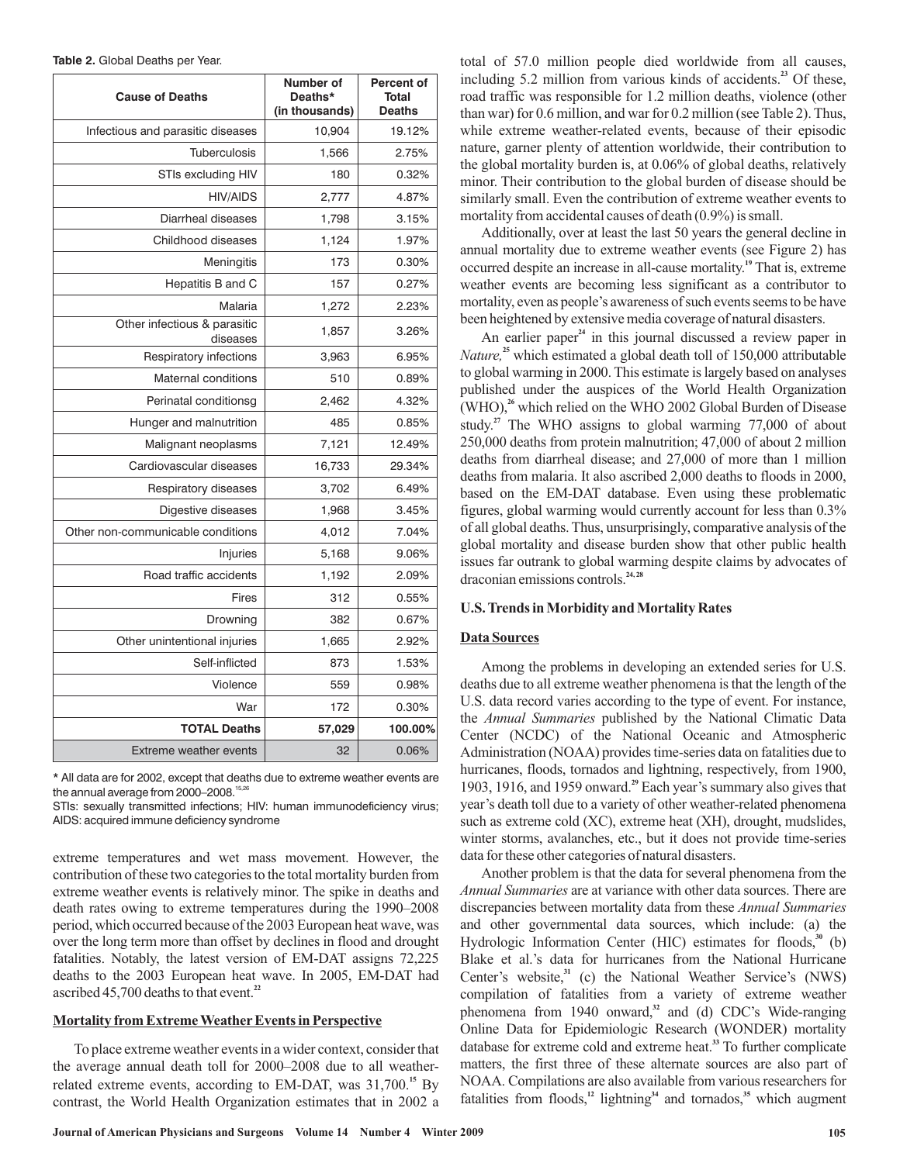| Table 2. Global Deaths per Year. |  |
|----------------------------------|--|
|----------------------------------|--|

| <b>Cause of Deaths</b>                   | Number of<br>Deaths*<br>(in thousands) | <b>Percent of</b><br><b>Total</b><br><b>Deaths</b> |
|------------------------------------------|----------------------------------------|----------------------------------------------------|
| Infectious and parasitic diseases        | 10,904                                 | 19.12%                                             |
| <b>Tuberculosis</b>                      | 1,566                                  | 2.75%                                              |
| STIs excluding HIV                       | 180                                    | 0.32%                                              |
| <b>HIV/AIDS</b>                          | 2,777                                  | 4.87%                                              |
| Diarrheal diseases                       | 1,798                                  | 3.15%                                              |
| Childhood diseases                       | 1,124                                  | 1.97%                                              |
| Meningitis                               | 173                                    | 0.30%                                              |
| Hepatitis B and C                        | 157                                    | 0.27%                                              |
| Malaria                                  | 1,272                                  | 2.23%                                              |
| Other infectious & parasitic<br>diseases | 1,857                                  | 3.26%                                              |
| Respiratory infections                   | 3,963                                  | 6.95%                                              |
| <b>Maternal conditions</b>               | 510                                    | 0.89%                                              |
| Perinatal conditionsg                    | 2,462                                  | 4.32%                                              |
| Hunger and malnutrition                  | 485                                    | 0.85%                                              |
| Malignant neoplasms                      | 7,121                                  | 12.49%                                             |
| Cardiovascular diseases                  | 16,733                                 | 29.34%                                             |
| Respiratory diseases                     | 3,702                                  | 6.49%                                              |
| Digestive diseases                       | 1,968                                  | 3.45%                                              |
| Other non-communicable conditions        | 4,012                                  | 7.04%                                              |
| Injuries                                 | 5,168                                  | 9.06%                                              |
| Road traffic accidents                   | 1,192                                  | 2.09%                                              |
| Fires                                    | 312                                    | 0.55%                                              |
| Drowning                                 | 382                                    | 0.67%                                              |
| Other unintentional injuries             | 1,665                                  | 2.92%                                              |
| Self-inflicted                           | 873                                    | 1.53%                                              |
| Violence                                 | 559                                    | 0.98%                                              |
| War                                      | 172                                    | 0.30%                                              |
| <b>TOTAL Deaths</b>                      | 57,029                                 | 100.00%                                            |
| Extreme weather events                   | 32                                     | 0.06%                                              |

\* All data are for 2002, except that deaths due to extreme weather events are the annual average from 2000–2008. 15,26

STIs: sexually transmitted infections; HIV: human immunodeficiency virus; AIDS: acquired immune deficiency syndrome

extreme temperatures and wet mass movement. However, the contribution of these two categories to the total mortality burden from extreme weather events is relatively minor. The spike in deaths and death rates owing to extreme temperatures during the 1990–2008 period, which occurred because of the 2003 European heat wave, was over the long term more than offset by declines in flood and drought fatalities. Notably, the latest version of EM-DAT assigns 72,225 deaths to the 2003 European heat wave. In 2005, EM-DAT had ascribed 45,700 deaths to that event. **22**

#### **Mortality from Extreme Weather Events in Perspective**

To place extreme weather events in a wider context, consider that the average annual death toll for 2000–2008 due to all weatherrelated extreme events, according to EM-DAT, was 31,700.<sup>15</sup> By contrast, the World Health Organization estimates that in 2002 a

total of 57.0 million people died worldwide from all causes, including  $5.2$  million from various kinds of accidents.<sup>23</sup> Of these, road traffic was responsible for 1.2 million deaths, violence (other than war) for 0.6 million, and war for 0.2 million (see Table 2). Thus, while extreme weather-related events, because of their episodic nature, garner plenty of attention worldwide, their contribution to the global mortality burden is, at 0.06% of global deaths, relatively minor. Their contribution to the global burden of disease should be similarly small. Even the contribution of extreme weather events to mortality from accidental causes of death (0.9%) is small.

Additionally, over at least the last 50 years the general decline in annual mortality due to extreme weather events (see Figure 2) has occurred despite an increase in all-cause mortality.<sup>19</sup> That is, extreme weather events are becoming less significant as a contributor to mortality, even as people's awareness of such events seems to be have been heightened by extensive media coverage of natural disasters.

An earlier paper<sup>24</sup> in this journal discussed a review paper in Nature,<sup>25</sup> which estimated a global death toll of 150,000 attributable to global warming in 2000. This estimate is largely based on analyses published under the auspices of the World Health Organization (WHO),<sup>26</sup> which relied on the WHO 2002 Global Burden of Disease study.<sup>27</sup> The WHO assigns to global warming 77,000 of about 250,000 deaths from protein malnutrition; 47,000 of about 2 million deaths from diarrheal disease; and 27,000 of more than 1 million deaths from malaria. It also ascribed 2,000 deaths to floods in 2000, based on the EM-DAT database. Even using these problematic figures, global warming would currently account for less than 0.3% of all global deaths. Thus, unsurprisingly, comparative analysis of the global mortality and disease burden show that other public health issues far outrank to global warming despite claims by advocates of draconian emissions controls. **24, 28**

## **U.S. Trends in Morbidity and Mortality Rates**

#### **Data Sources**

Among the problems in developing an extended series for U.S. deaths due to all extreme weather phenomena is that the length of the U.S. data record varies according to the type of event. For instance, the Annual Summaries published by the National Climatic Data Center (NCDC) of the National Oceanic and Atmospheric Administration (NOAA) provides time-series data on fatalities due to hurricanes, floods, tornados and lightning, respectively, from 1900, 1903, 1916, and 1959 onward.<sup>29</sup> Each year's summary also gives that year's death toll due to a variety of other weather-related phenomena such as extreme cold (XC), extreme heat (XH), drought, mudslides, winter storms, avalanches, etc., but it does not provide time-series data for these other categories of natural disasters.

Another problem is that the data for several phenomena from the Annual Summaries are at variance with other data sources. There are discrepancies between mortality data from these *Annual Summaries* and other governmental data sources, which include: (a) the Hydrologic Information Center (HIC) estimates for floods,<sup>30</sup> (b) Blake et al.'s data for hurricanes from the National Hurricane Center's website,<sup>31</sup> (c) the National Weather Service's (NWS) compilation of fatalities from a variety of extreme weather phenomena from 1940 onward,<sup>32</sup> and (d) CDC's Wide-ranging Online Data for Epidemiologic Research (WONDER) mortality database for extreme cold and extreme heat.<sup>33</sup> To further complicate matters, the first three of these alternate sources are also part of NOAA. Compilations are also available from various researchers for fatalities from floods,<sup>12</sup> lightning<sup>34</sup> and tornados,<sup>35</sup> which augment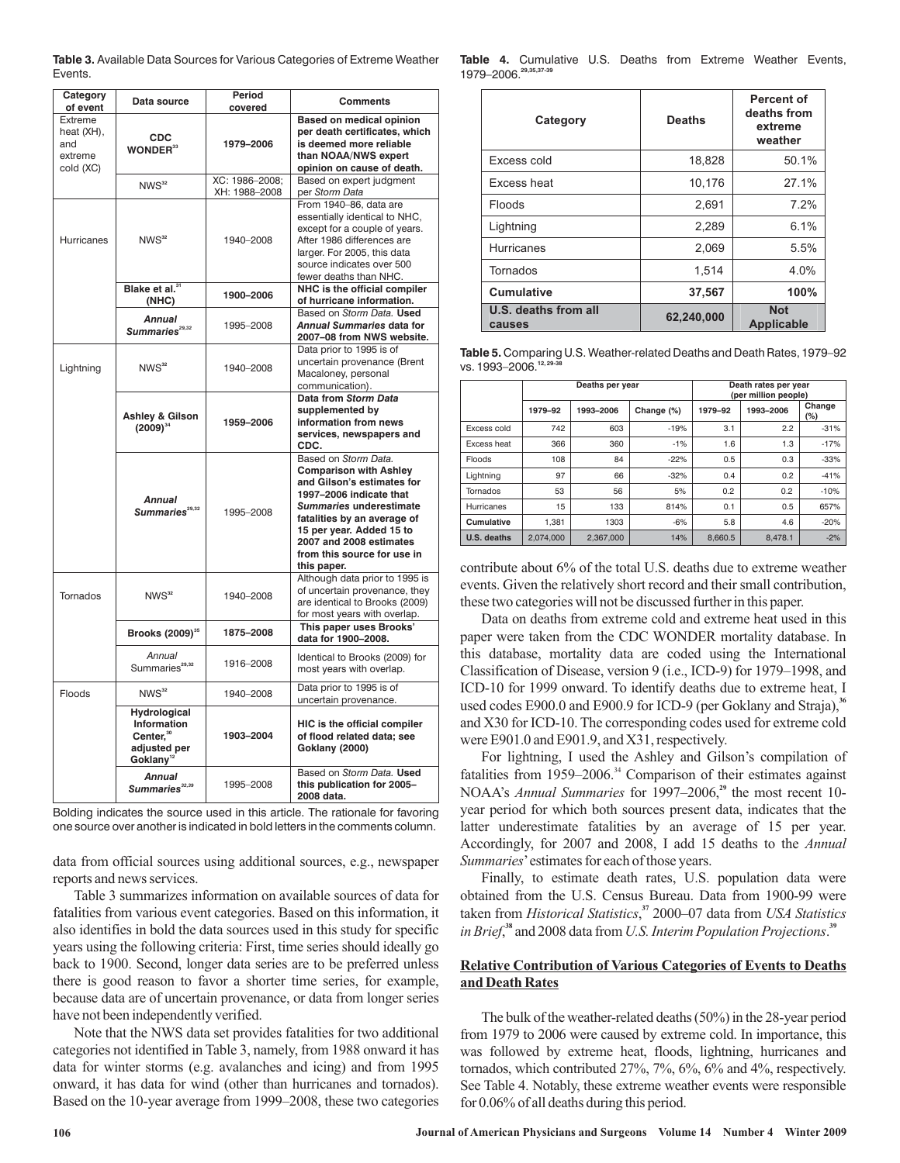| <b>Table 3.</b> Available Data Sources for Various Categories of Extreme Weather |  |
|----------------------------------------------------------------------------------|--|
| Events.                                                                          |  |

| Category<br>of event                                 | Data source                                                                                   | Period<br>covered                                                                                                 | <b>Comments</b>                                                                                                                                                                                                                                                               |
|------------------------------------------------------|-----------------------------------------------------------------------------------------------|-------------------------------------------------------------------------------------------------------------------|-------------------------------------------------------------------------------------------------------------------------------------------------------------------------------------------------------------------------------------------------------------------------------|
| Extreme<br>heat (XH),<br>and<br>extreme<br>cold (XC) | <b>CDC</b><br><b>WONDER</b> <sup>33</sup>                                                     | 1979-2006                                                                                                         | Based on medical opinion<br>per death certificates, which<br>is deemed more reliable<br>than NOAA/NWS expert<br>opinion on cause of death.                                                                                                                                    |
|                                                      | NWS <sup>32</sup>                                                                             | XC: 1986-2008;<br>XH: 1988-2008                                                                                   | Based on expert judgment<br>per Storm Data                                                                                                                                                                                                                                    |
| <b>Hurricanes</b>                                    | NWS <sup>32</sup>                                                                             | 1940-2008                                                                                                         | From 1940-86, data are<br>essentially identical to NHC,<br>except for a couple of years.<br>After 1986 differences are<br>larger. For 2005, this data<br>source indicates over 500<br>fewer deaths than NHC.                                                                  |
|                                                      | Blake et al. <sup>31</sup><br>(NHC)                                                           | 1900-2006                                                                                                         | NHC is the official compiler<br>of hurricane information.                                                                                                                                                                                                                     |
|                                                      | <b>Annual</b><br>Summaries <sup>29,32</sup>                                                   | 1995-2008                                                                                                         | Based on Storm Data. Used<br>Annual Summaries data for<br>2007-08 from NWS website.                                                                                                                                                                                           |
| Lightning                                            | NWS <sup>32</sup>                                                                             | 1940-2008                                                                                                         | Data prior to 1995 is of<br>uncertain provenance (Brent<br>Macaloney, personal<br>communication).                                                                                                                                                                             |
|                                                      | <b>Ashley &amp; Gilson</b><br>$(2009)^{34}$                                                   | Data from Storm Data<br>supplemented by<br>1959-2006<br>information from news<br>services, newspapers and<br>CDC. |                                                                                                                                                                                                                                                                               |
|                                                      | <b>Annual</b><br>Summaries <sup>29,32</sup>                                                   | 1995-2008                                                                                                         | Based on Storm Data.<br><b>Comparison with Ashley</b><br>and Gilson's estimates for<br>1997-2006 indicate that<br>Summaries underestimate<br>fatalities by an average of<br>15 per year. Added 15 to<br>2007 and 2008 estimates<br>from this source for use in<br>this paper. |
| Tornados                                             | NWS <sup>32</sup>                                                                             | 1940-2008                                                                                                         | Although data prior to 1995 is<br>of uncertain provenance, they<br>are identical to Brooks (2009)<br>for most years with overlap.                                                                                                                                             |
|                                                      | Brooks (2009) <sup>35</sup>                                                                   | 1875-2008                                                                                                         | This paper uses Brooks'<br>data for 1900-2008.                                                                                                                                                                                                                                |
|                                                      | Annual<br>Summaries <sup>29,32</sup>                                                          | 1916-2008                                                                                                         | Identical to Brooks (2009) for<br>most years with overlap.                                                                                                                                                                                                                    |
| Floods                                               | NWS <sup>32</sup>                                                                             | 1940-2008                                                                                                         | Data prior to 1995 is of<br>uncertain provenance.                                                                                                                                                                                                                             |
|                                                      | Hydrological<br>Information<br>Center. <sup>30</sup><br>adjusted per<br>Goklany <sup>12</sup> | 1903-2004                                                                                                         | HIC is the official compiler<br>of flood related data; see<br><b>Goklany (2000)</b>                                                                                                                                                                                           |
|                                                      | Annual<br>Summaries <sup>32,39</sup>                                                          | 1995-2008                                                                                                         | Based on Storm Data, Used<br>this publication for 2005-<br>2008 data.                                                                                                                                                                                                         |

Bolding indicates the source used in this article. The rationale for favoring one source over another is indicated in bold letters in the comments column.

data from official sources using additional sources, e.g., newspaper reports and news services.

Table 3 summarizes information on available sources of data for fatalities from various event categories. Based on this information, it also identifies in bold the data sources used in this study for specific years using the following criteria: First, time series should ideally go back to 1900. Second, longer data series are to be preferred unless there is good reason to favor a shorter time series, for example, because data are of uncertain provenance, or data from longer series have not been independently verified.

Note that the NWS data set provides fatalities for two additional categories not identified in Table 3, namely, from 1988 onward it has data for winter storms (e.g. avalanches and icing) and from 1995 onward, it has data for wind (other than hurricanes and tornados). Based on the 10-year average from 1999–2008, these two categories

**Table 4.** Cumulative U.S. Deaths from Extreme Weather Events, 1979–2006.**29,35,37-39**

| Category                       | <b>Deaths</b> | Percent of<br>deaths from<br>extreme<br>weather |  |
|--------------------------------|---------------|-------------------------------------------------|--|
| Excess cold                    | 18,828        | 50.1%                                           |  |
| Excess heat                    | 10,176        | 27.1%                                           |  |
| Floods                         | 2,691         | 7.2%                                            |  |
| Lightning                      | 2,289         | 6.1%                                            |  |
| <b>Hurricanes</b>              | 2,069         | 5.5%                                            |  |
| Tornados                       | 1,514         | 4.0%                                            |  |
| <b>Cumulative</b>              | 37,567        | 100%                                            |  |
| U.S. deaths from all<br>causes | 62,240,000    | <b>Not</b><br><b>Applicable</b>                 |  |

**Table 5.** Comparing U.S. Weather-related Deaths and Death Rates, 1979–92 vs. 1993–2006.<sup>12,29</sup>

|                   | Deaths per year |           |            | Death rates per year<br>(per million people) |           |               |
|-------------------|-----------------|-----------|------------|----------------------------------------------|-----------|---------------|
|                   | 1979-92         | 1993-2006 | Change (%) | 1979-92                                      | 1993-2006 | Change<br>(%) |
| Excess cold       | 742             | 603       | $-19%$     | 3.1                                          | 2.2       | $-31%$        |
| Excess heat       | 366             | 360       | $-1%$      | 1.6                                          | 1.3       | $-17%$        |
| Floods            | 108             | 84        | $-22%$     | 0.5                                          | 0.3       | $-33%$        |
| Lightning         | 97              | 66        | $-32%$     | 0.4                                          | 0.2       | $-41%$        |
| Tornados          | 53              | 56        | 5%         | 0.2                                          | 0.2       | $-10%$        |
| <b>Hurricanes</b> | 15              | 133       | 814%       | 0.1                                          | 0.5       | 657%          |
| Cumulative        | 1.381           | 1303      | $-6%$      | 5.8                                          | 4.6       | $-20%$        |
| U.S. deaths       | 2.074.000       | 2.367.000 | 14%        | 8.660.5                                      | 8.478.1   | $-2%$         |

contribute about 6% of the total U.S. deaths due to extreme weather events. Given the relatively short record and their small contribution, these two categories will not be discussed further in this paper.

Data on deaths from extreme cold and extreme heat used in this paper were taken from the CDC WONDER mortality database. In this database, mortality data are coded using the International Classification of Disease, version 9 (i.e., ICD-9) for 1979–1998, and ICD-10 for 1999 onward. To identify deaths due to extreme heat, I used codes E900.0 and E900.9 for ICD-9 (per Goklany and Straja), **36** and X30 for ICD-10. The corresponding codes used for extreme cold were E901.0 and E901.9, and X31, respectively.

For lightning, I used the Ashley and Gilson's compilation of fatalities from  $1959-2006$ .<sup>34</sup> Comparison of their estimates against NOAA's *Annual Summaries* for 1997–2006,<sup>29</sup> the most recent 10year period for which both sources present data, indicates that the latter underestimate fatalities by an average of 15 per year. Accordingly, for 2007 and 2008, I add 15 deaths to the *Annual* Summaries' estimates for each of those years.

Finally, to estimate death rates, U.S. population data were obtained from the U.S. Census Bureau. Data from 1900-99 were taken from *Historical Statistics*,<sup>37</sup> 2000–07 data from USA Statistics in Brief, $^{38}$  and 2008 data from U.S. Interim Population Projections. $^{39}$ 

## **Relative Contribution of Various Categories of Events to Deaths and Death Rates**

The bulk of the weather-related deaths (50%) in the 28-year period from 1979 to 2006 were caused by extreme cold. In importance, this was followed by extreme heat, floods, lightning, hurricanes and tornados, which contributed 27%, 7%, 6%, 6% and 4%, respectively. See Table 4. Notably, these extreme weather events were responsible for 0.06% of all deaths during this period.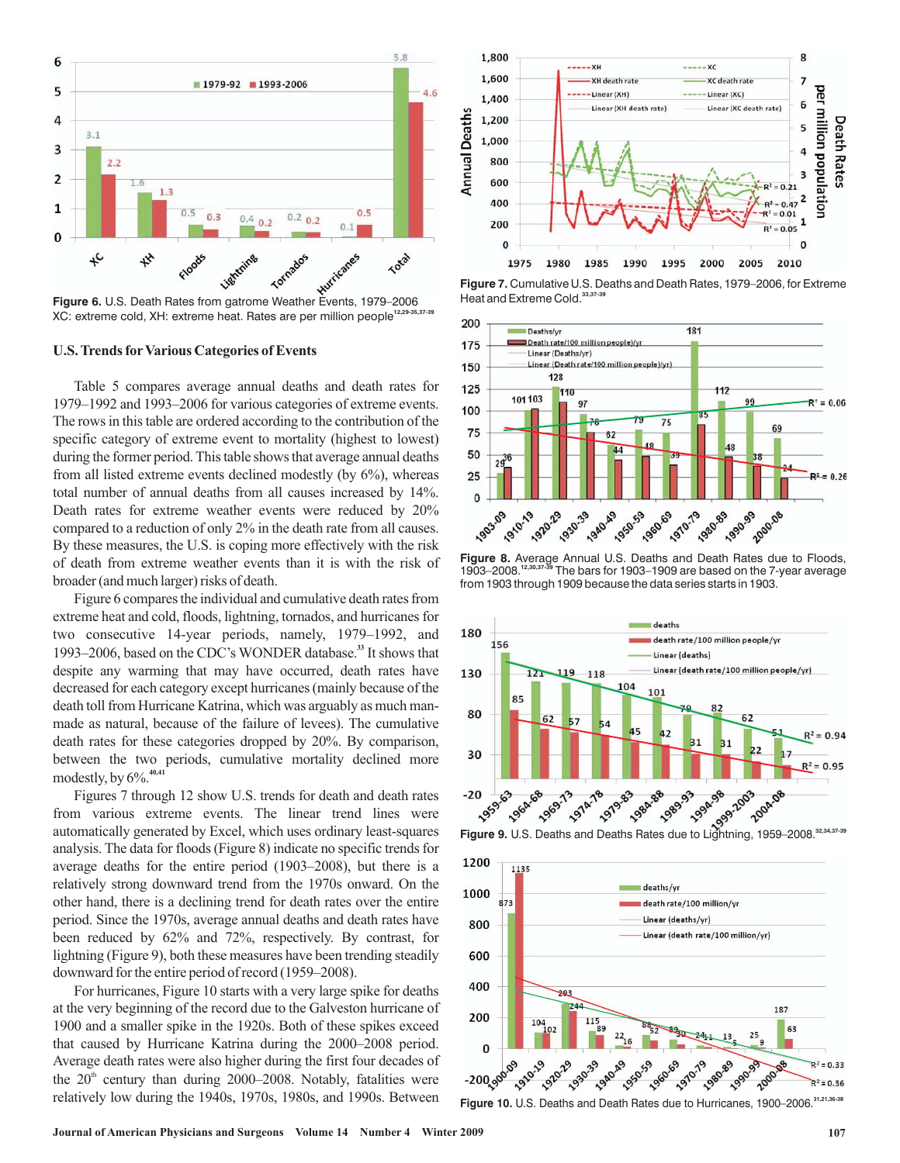

**Figure 6.** U.S. Death Rates from gatrome Weather Events, 1979–2006 XC: extreme cold, XH: extreme heat. Rates are per million people**12,29-35,37-39**

#### **U.S. Trends for Various Categories of Events**

Table 5 compares average annual deaths and death rates for 1979–1992 and 1993–2006 for various categories of extreme events. The rows in this table are ordered according to the contribution of the specific category of extreme event to mortality (highest to lowest) during the former period. This table shows that average annual deaths from all listed extreme events declined modestly (by 6%), whereas total number of annual deaths from all causes increased by 14%. Death rates for extreme weather events were reduced by 20% compared to a reduction of only 2% in the death rate from all causes. By these measures, the U.S. is coping more effectively with the risk of death from extreme weather events than it is with the risk of broader (and much larger) risks of death.

Figure 6 compares the individual and cumulative death rates from extreme heat and cold, floods, lightning, tornados, and hurricanes for two consecutive 14-year periods, namely, 1979–1992, and 1993-2006, based on the CDC's WONDER database.<sup>33</sup> It shows that despite any warming that may have occurred, death rates have decreased for each category except hurricanes (mainly because of the death toll from Hurricane Katrina, which was arguably as much manmade as natural, because of the failure of levees). The cumulative death rates for these categories dropped by 20%. By comparison, between the two periods, cumulative mortality declined more modestly, by 6%. **40,41**

Figures 7 through 12 show U.S. trends for death and death rates from various extreme events. The linear trend lines were automatically generated by Excel, which uses ordinary least-squares analysis. The data for floods (Figure 8) indicate no specific trends for average deaths for the entire period (1903–2008), but there is a relatively strong downward trend from the 1970s onward. On the other hand, there is a declining trend for death rates over the entire period. Since the 1970s, average annual deaths and death rates have been reduced by 62% and 72%, respectively. By contrast, for lightning (Figure 9), both these measures have been trending steadily downward for the entire period of record (1959–2008).

For hurricanes, Figure 10 starts with a very large spike for deaths at the very beginning of the record due to the Galveston hurricane of 1900 and a smaller spike in the 1920s. Both of these spikes exceed that caused by Hurricane Katrina during the 2000–2008 period. Average death rates were also higher during the first four decades of the  $20<sup>th</sup>$  century than during 2000–2008. Notably, fatalities were relatively low during the 1940s, 1970s, 1980s, and 1990s. Between



**Figure 7.** Cumulative U.S. Deaths and Death Rates, 1979–2006, for Extreme Heat and Extreme Cold.<sup>33,37</sup>



**Figure 8.** Average Annual U.S. Deaths and Death Rates due to Floods, 1903–2008.<sup>12,30,37-39</sup> The bars for 1903–1909 are based on the 7-year average from 1903 through 1909 because the data series starts in 1903.





**Figure 10.** U.S. Deaths and Death Rates due to Hurricanes, 1900–2006.**31,21,36-38**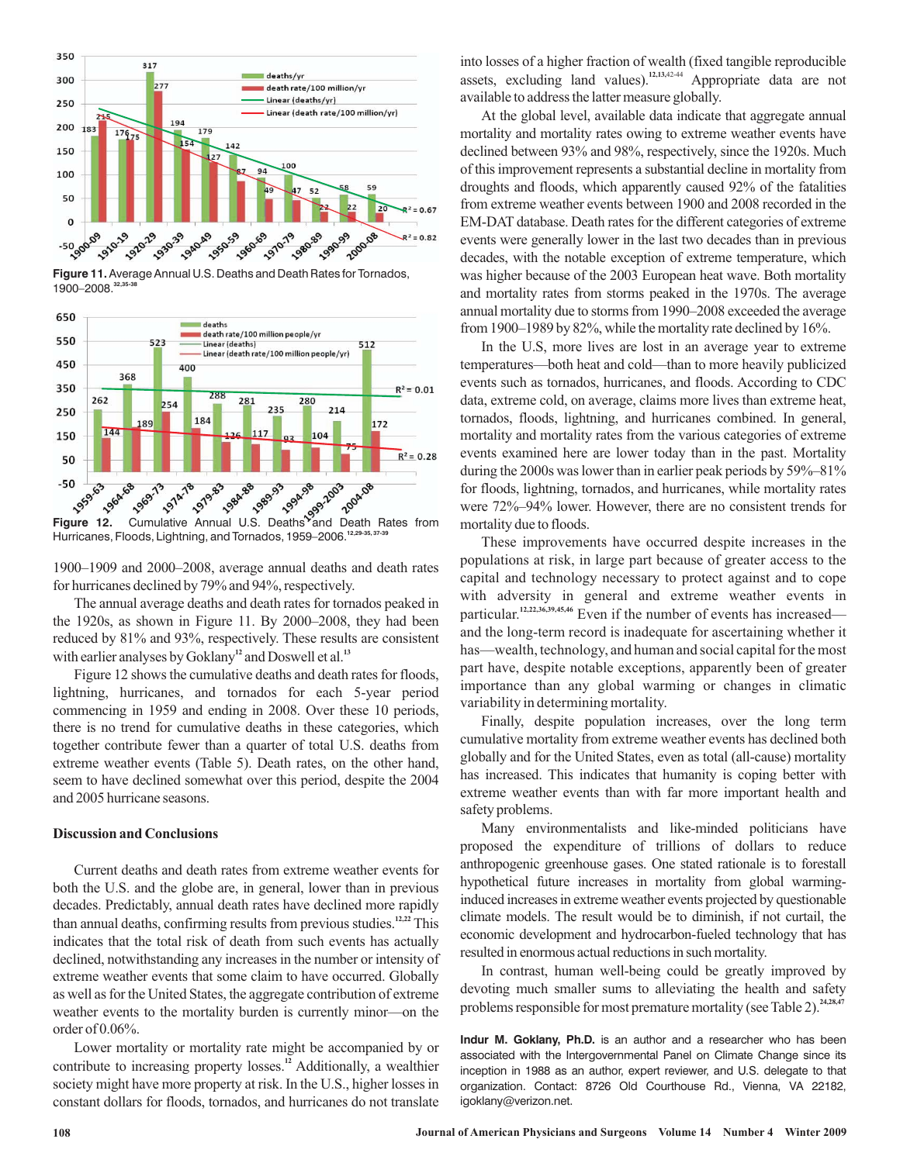

**Figure 11.** Average Annual U.S. Deaths and Death Rates for Tornados, 1900–2008.**32,35-38**



Hurricanes, Floods, Lightning, and Tornados, 1959–2006.**12,29-35, 37-39**

1900–1909 and 2000–2008, average annual deaths and death rates for hurricanes declined by 79% and 94%, respectively.

The annual average deaths and death rates for tornados peaked in the 1920s, as shown in Figure 11. By 2000–2008, they had been reduced by 81% and 93%, respectively. These results are consistent with earlier analyses by Goklany<sup>12</sup> and Doswell et al.<sup>13</sup>

Figure 12 shows the cumulative deaths and death rates for floods, lightning, hurricanes, and tornados for each 5-year period commencing in 1959 and ending in 2008. Over these 10 periods, there is no trend for cumulative deaths in these categories, which together contribute fewer than a quarter of total U.S. deaths from extreme weather events (Table 5). Death rates, on the other hand, seem to have declined somewhat over this period, despite the 2004 and 2005 hurricane seasons.

#### **Discussion and Conclusions**

Current deaths and death rates from extreme weather events for both the U.S. and the globe are, in general, lower than in previous decades. Predictably, annual death rates have declined more rapidly than annual deaths, confirming results from previous studies.<sup>12,22</sup> This indicates that the total risk of death from such events has actually declined, notwithstanding any increases in the number or intensity of extreme weather events that some claim to have occurred. Globally as well as for the United States, the aggregate contribution of extreme weather events to the mortality burden is currently minor—on the order of 0.06%.

Lower mortality or mortality rate might be accompanied by or contribute to increasing property losses.<sup>12</sup> Additionally, a wealthier society might have more property at risk. In the U.S., higher losses in constant dollars for floods, tornados, and hurricanes do not translate into losses of a higher fraction of wealth (fixed tangible reproducible assets, excluding land values).<sup>12,13,42-44</sup> Appropriate data are not available to address the latter measure globally.

At the global level, available data indicate that aggregate annual mortality and mortality rates owing to extreme weather events have declined between 93% and 98%, respectively, since the 1920s. Much of this improvement represents a substantial decline in mortality from droughts and floods, which apparently caused 92% of the fatalities from extreme weather events between 1900 and 2008 recorded in the EM-DAT database. Death rates for the different categories of extreme events were generally lower in the last two decades than in previous decades, with the notable exception of extreme temperature, which was higher because of the 2003 European heat wave. Both mortality and mortality rates from storms peaked in the 1970s. The average annual mortality due to storms from 1990–2008 exceeded the average from 1900–1989 by 82%, while the mortality rate declined by 16%.

In the U.S, more lives are lost in an average year to extreme temperatures—both heat and cold—than to more heavily publicized events such as tornados, hurricanes, and floods. According to CDC data, extreme cold, on average, claims more lives than extreme heat, tornados, floods, lightning, and hurricanes combined. In general, mortality and mortality rates from the various categories of extreme events examined here are lower today than in the past. Mortality during the 2000s was lower than in earlier peak periods by 59%–81% for floods, lightning, tornados, and hurricanes, while mortality rates were 72%–94% lower. However, there are no consistent trends for mortality due to floods.

These improvements have occurred despite increases in the populations at risk, in large part because of greater access to the capital and technology necessary to protect against and to cope with adversity in general and extreme weather events in particular.<sup>12,22,36,39,45,46</sup> Even if the number of events has increased and the long-term record is inadequate for ascertaining whether it has—wealth, technology, and human and social capital for the most part have, despite notable exceptions, apparently been of greater importance than any global warming or changes in climatic variability in determining mortality.

Finally, despite population increases, over the long term cumulative mortality from extreme weather events has declined both globally and for the United States, even as total (all-cause) mortality has increased. This indicates that humanity is coping better with extreme weather events than with far more important health and safety problems.

Many environmentalists and like-minded politicians have proposed the expenditure of trillions of dollars to reduce anthropogenic greenhouse gases. One stated rationale is to forestall hypothetical future increases in mortality from global warminginduced increases in extreme weather events projected by questionable climate models. The result would be to diminish, if not curtail, the economic development and hydrocarbon-fueled technology that has resulted in enormous actual reductions in such mortality.

In contrast, human well-being could be greatly improved by devoting much smaller sums to alleviating the health and safety problems responsible for most premature mortality (see Table 2). **24,28,47**

**Indur M. Goklany, Ph.D.** is an author and a researcher who has been associated with the Intergovernmental Panel on Climate Change since its inception in 1988 as an author, expert reviewer, and U.S. delegate to that organization. Contact: 8726 Old Courthouse Rd., Vienna, VA 22182, igoklany@verizon.net.